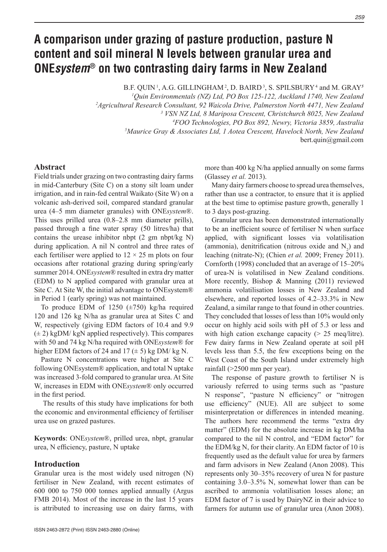# **A comparison under grazing of pasture production, pasture N content and soil mineral N levels between granular urea and ONE***system***® on two contrasting dairy farms in New Zealand**

B.F. QUIN<sup>1</sup>, A.G. GILLINGHAM<sup>2</sup>, D. BAIRD<sup>3</sup>, S. SPILSBURY<sup>4</sup> and M. GRAY<sup>5</sup> <sup>1</sup>Ouin Environmentals (NZ) Ltd, PO Box 125-122, Auckland 1740, New Zealand *Quin Environmentals (NZ) Ltd, PO Box 125-122, Auckland 1740, New Zealand 2Agricultural Research Consultant, 92 Waicola Drive, Palmerston North 4471, New Zealand 3 VSN NZ Ltd, 8 Mariposa Crescent, Christchurch 8025, New Zealand 4 FOO Technologies, PO Box 892, Newry, Victoria 3859, Australia 5 Maurice Gray & Associates Ltd, 1 Aotea Crescent, Havelock North, New Zealand* bert.quin@gmail.com

## **Abstract**

Field trials under grazing on two contrasting dairy farms in mid-Canterbury (Site C) on a stony silt loam under irrigation, and in rain-fed central Waikato (Site W) on a volcanic ash-derived soil, compared standard granular urea (4–5 mm diameter granules) with ONE*system*®. This uses prilled urea (0.8–2.8 mm diameter prills), passed through a fine water spray (50 litres/ha) that contains the urease inhibitor nbpt (2 gm nbpt/kg N) during application. A nil N control and three rates of each fertiliser were applied to  $12 \times 25$  m plots on four occasions after rotational grazing during spring/early summer 2014. ONE*system*® resulted in extra dry matter (EDM) to N applied compared with granular urea at Site C. At Site W, the initial advantage to ONEsystem® in Period 1 (early spring) was not maintained.

To produce EDM of 1250  $(\pm 750)$  kg/ha required 120 and 126 kg N/ha as granular urea at Sites C and W, respectively (giving EDM factors of 10.4 and 9.9  $(\pm 2)$  kgDM/ kgN applied respectively). This compares with 50 and 74 kg N/ha required with ONE*system*® for higher EDM factors of 24 and 17  $(\pm 5)$  kg DM/ kg N.

Pasture N concentrations were higher at Site C following ONEsystem® application, and total N uptake was increased 3-fold compared to granular urea. At Site W, increases in EDM with ONE*system*® only occurred in the first period.

 The results of this study have implications for both the economic and environmental efficiency of fertiliser urea use on grazed pastures.

**Keywords**: ONE*system*®, prilled urea, nbpt, granular urea, N efficiency, pasture, N uptake

# **Introduction**

Granular urea is the most widely used nitrogen (N) fertiliser in New Zealand, with recent estimates of 600 000 to 750 000 tonnes applied annually (Argus FMB 2014). Most of the increase in the last 15 years is attributed to increasing use on dairy farms, with

more than 400 kg N/ha applied annually on some farms (Glassey *et al.* 2013).

Many dairy farmers choose to spread urea themselves, rather than use a contractor, to ensure that it is applied at the best time to optimise pasture growth, generally 1 to 3 days post-grazing.

Granular urea has been demonstrated internationally to be an inefficient source of fertiliser N when surface applied, with significant losses via volatilisation (ammonia), denitrification (nitrous oxide and  $N_2$ ) and leaching (nitrate-N); (Chien *et al.* 2009; Freney 2011). Cornforth (1998) concluded that an average of 15–20% of urea-N is volatilised in New Zealand conditions. More recently, Bishop & Manning (2011) reviewed ammonia volatilisation losses in New Zealand and elsewhere, and reported losses of 4.2–33.3% in New Zealand, a similar range to that found in other countries. They concluded that losses of less than 10% would only occur on highly acid soils with pH of 5.3 or less and with high cation exchange capacity  $(> 25 \text{ meg/litre})$ . Few dairy farms in New Zealand operate at soil pH levels less than 5.5, the few exceptions being on the West Coast of the South Island under extremely high rainfall (>2500 mm per year).

The response of pasture growth to fertiliser N is variously referred to using terms such as "pasture N response", "pasture N efficiency" or "nitrogen use efficiency" (NUE). All are subject to some misinterpretation or differences in intended meaning. The authors here recommend the terms "extra dry matter" (EDM) for the absolute increase in kg DM/ha compared to the nil N control, and "EDM factor" for the EDM/kg N, for their clarity. An EDM factor of 10 is frequently used as the default value for urea by farmers and farm advisors in New Zealand (Anon 2008). This represents only 30–35% recovery of urea N for pasture containing 3.0–3.5% N, somewhat lower than can be ascribed to ammonia volatilisation losses alone; an EDM factor of 7 is used by DairyNZ in their advice to farmers for autumn use of granular urea (Anon 2008).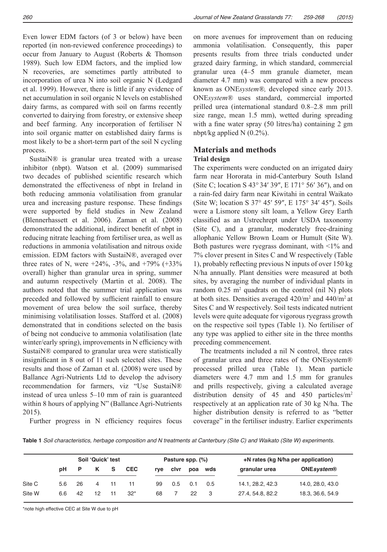Even lower EDM factors (of 3 or below) have been reported (in non-reviewed conference proceedings) to occur from January to August (Roberts & Thomson 1989). Such low EDM factors, and the implied low N recoveries, are sometimes partly attributed to incorporation of urea N into soil organic N (Ledgard et al. 1999). However, there is little if any evidence of net accumulation in soil organic N levels on established dairy farms, as compared with soil on farms recently converted to dairying from forestry, or extensive sheep and beef farming. Any incorporation of fertiliser N into soil organic matter on established dairy farms is most likely to be a short-term part of the soil N cycling process.

SustaiN® is granular urea treated with a urease inhibitor (nbpt). Watson et al. (2009) summarised two decades of published scientific research which demonstrated the effectiveness of nbpt in Ireland in both reducing ammonia volatilisation from granular urea and increasing pasture response. These findings were supported by field studies in New Zealand (Blennerhassett et al. 2006). Zaman et al. (2008) demonstrated the additional, indirect benefit of nbpt in reducing nitrate leaching from fertiliser urea, as well as reductions in ammonia volatilisation and nitrous oxide emission. EDM factors with SustaiN®, averaged over three rates of N, were  $+24\%$ ,  $-3\%$ , and  $+79\%$  ( $+33\%$ ) overall) higher than granular urea in spring, summer and autumn respectively (Martin et al. 2008). The authors noted that the summer trial application was preceded and followed by sufficient rainfall to ensure movement of urea below the soil surface, thereby minimising volatilisation losses. Stafford et al. (2008) demonstrated that in conditions selected on the basis of being not conducive to ammonia volatilisation (late winter/early spring), improvements in N efficiency with SustaiN® compared to granular urea were statistically insignificant in 8 out of 11 such selected sites. These results and those of Zaman et al. (2008) were used by Ballance Agri-Nutrients Ltd to develop the advisory recommendation for farmers, viz "Use SustaiN® instead of urea unless 5–10 mm of rain is guaranteed within 8 hours of applying N" (Ballance Agri-Nutrients 2015).

on more avenues for improvement than on reducing ammonia volatilisation. Consequently, this paper presents results from three trials conducted under grazed dairy farming, in which standard, commercial granular urea (4–5 mm granule diameter, mean diameter 4.7 mm) was compared with a new process known as ONE*system®,* developed since early 2013. ONE*system®* uses standard, commercial imported prilled urea (international standard 0.8–2.8 mm prill size range, mean 1.5 mm), wetted during spreading with a fine water spray (50 litres/ha) containing 2 gm nbpt/kg applied N (0.2%).

## **Materials and methods Trial design**

The experiments were conducted on an irrigated dairy farm near Hororata in mid-Canterbury South Island (Site C; location S 43° 34′ 39″, E 171° 56′ 36″), and on a rain-fed dairy farm near Kiwitahi in central Waikato (Site W; location S 37° 45′ 59″, E 175° 34′ 45″). Soils were a Lismore stony silt loam, a Yellow Grey Earth classified as an Ustrechrept under USDA taxonomy (Site C), and a granular, moderately free-draining allophanic Yellow Brown Loam or Humult (Site W). Both pastures were ryegrass dominant, with  $\leq 1\%$  and 7% clover present in Sites C and W respectively (Table 1), probably reflecting previous N inputs of over 150 kg N/ha annually. Plant densities were measured at both sites, by averaging the number of individual plants in random  $0.25 \text{ m}^2$  quadrats on the control (nil N) plots at both sites. Densities averaged  $420/m^2$  and  $440/m^2$  at Sites C and W respectively. Soil tests indicated nutrient levels were quite adequate for vigorous ryegrass growth on the respective soil types (Table 1). No fertiliser of any type was applied to either site in the three months preceding commencement.

The treatments included a nil N control, three rates of granular urea and three rates of the ONEsystem® processed prilled urea (Table 1). Mean particle diameters were 4.7 mm and 1.5 mm for granules and prills respectively, giving a calculated average distribution density of 45 and 450 particles/m<sup>2</sup> respectively at an application rate of 30 kg N/ha. The higher distribution density is referred to as "better coverage" in the fertiliser industry. Earlier experiments

Further progress in N efficiency requires focus

**Table 1** Soil characteristics, herbage composition and N treatments at Canterbury (Site C) and Waikato (Site W) experiments.

|        |           |    | Soil 'Quick' test |       |            |     | Pasture spp. (%) |     |     | +N rates (kg N/ha per application) |                   |  |  |  |
|--------|-----------|----|-------------------|-------|------------|-----|------------------|-----|-----|------------------------------------|-------------------|--|--|--|
|        | <b>DH</b> | P  | K S               |       | <b>CEC</b> | rve | clvr             | poa | wds | granular urea                      | <b>ONEsystem®</b> |  |  |  |
| Site C | 5.6       | 26 | $\overline{4}$    | - 11  |            | 99  | 0.5              | 0.1 | 0.5 | 14.1, 28.2, 42.3                   | 14.0, 28.0, 43.0  |  |  |  |
| Site W | 6.6       | 42 | 12                | $-11$ | $32*$      | 68  |                  | 22  |     | 27.4, 54.8, 82.2                   | 18.3, 36.6, 54.9  |  |  |  |

\*note high effective CEC at Site W due to pH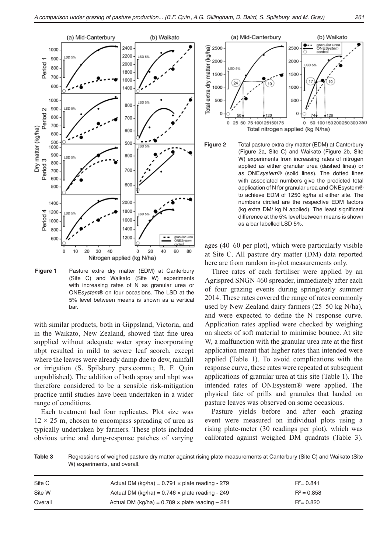

**Figure 1** Pasture extra dry matter (EDM) at Canterbury (Site C) and Waikato (Site W) experiments with increasing rates of N as granular urea or ONEsystem® on four occasions. The LSD at the 5% level between means is shown as a vertical bar.

with similar products, both in Gippsland, Victoria, and in the Waikato, New Zealand, showed that fine urea supplied without adequate water spray incorporating nbpt resulted in mild to severe leaf scorch, except where the leaves were already damp due to dew, rainfall or irrigation (S. Spilsbury pers.comm.; B. F. Quin unpublished). The addition of both spray and nbpt was therefore considered to be a sensible risk-mitigation practice until studies have been undertaken in a wider range of conditions.

Each treatment had four replicates. Plot size was  $12 \times 25$  m, chosen to encompass spreading of urea as typically undertaken by farmers. These plots included obvious urine and dung-response patches of varying





ages (40–60 per plot), which were particularly visible at Site C. All pasture dry matter (DM) data reported here are from random in-plot measurements only.

Three rates of each fertiliser were applied by an Agrispred SNGN 460 spreader, immediately after each of four grazing events during spring/early summer 2014. These rates covered the range of rates commonly used by New Zealand dairy farmers (25–50 kg N/ha), and were expected to define the N response curve. Application rates applied were checked by weighing on sheets of soft material to minimise bounce. At site W, a malfunction with the granular urea rate at the first application meant that higher rates than intended were applied (Table 1). To avoid complications with the response curve, these rates were repeated at subsequent applications of granular urea at this site (Table 1). The intended rates of ONEsystem® were applied. The physical fate of prills and granules that landed on pasture leaves was observed on some occasions.

Pasture yields before and after each grazing event were measured on individual plots using a rising plate-meter (30 readings per plot), which was calibrated against weighed DM quadrats (Table 3).

**Table 3** Regressions of weighed pasture dry matter against rising plate measurements at Canterbury (Site C) and Waikato (Site W) experiments, and overall.

| Site C  | Actual DM (kg/ha) = $0.791 \times$ plate reading - 279  | $R^2$ = 0.841 |
|---------|---------------------------------------------------------|---------------|
| Site W  | Actual DM (kg/ha) = $0.746 \times$ plate reading - 249  | $R^2 = 0.858$ |
| Overall | Actual DM (kg/ha) = $0.789 \times$ plate reading $-281$ | $R^2$ = 0.820 |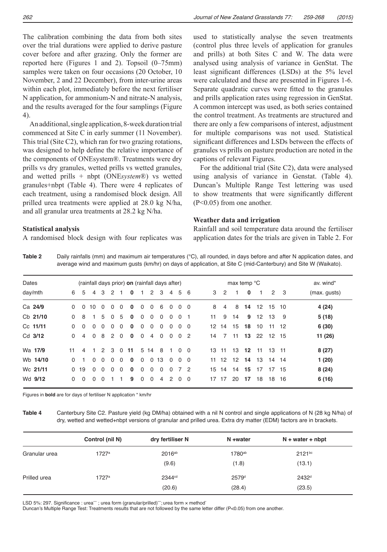The calibration combining the data from both sites over the trial durations were applied to derive pasture cover before and after grazing. Only the former are reported here (Figures 1 and 2). Topsoil (0–75mm) samples were taken on four occasions (20 October, 10 November, 2 and 22 December), from inter-urine areas within each plot, immediately before the next fertiliser N application, for ammonium-N and nitrate-N analysis, and the results averaged for the four samplings (Figure 4).

An additional, single application, 8-week duration trial commenced at Site C in early summer (11 November). This trial (Site C2), which ran for two grazing rotations, was designed to help define the relative importance of the components of ONEsystem®. Treatments were dry prills vs dry granules, wetted prills vs wetted granules, and wetted prills + nbpt (ONE*system*®) vs wetted granules+nbpt (Table 4). There were 4 replicates of each treatment, using a randomised block design. All prilled urea treatments were applied at 28.0 kg N/ha, and all granular urea treatments at 28.2 kg N/ha.

## **Statistical analysis**

A randomised block design with four replicates was

used to statistically analyse the seven treatments (control plus three levels of application for granules and prills) at both Sites C and W. The data were analysed using analysis of variance in GenStat. The least significant differences (LSDs) at the 5% level were calculated and these are presented in Figures 1-6. Separate quadratic curves were fitted to the granules and prills application rates using regression in GenStat. A common intercept was used, as both series contained the control treatment. As treatments are structured and there are only a few comparisons of interest, adjustment for multiple comparisons was not used. Statistical significant differences and LSDs between the effects of granules vs prills on pasture production are noted in the captions of relevant Figures.

For the additional trial (Site C2), data were analysed using analysis of variance in Genstat. (Table 4). Duncan's Multiple Range Test lettering was used to show treatments that were significantly different (P<0.05) from one another.

### **Weather data and irrigation**

Rainfall and soil temperature data around the fertiliser application dates for the trials are given in Table 2. For

|         |  |  |  |                                                |  |  |  |  |  |               |  | average wind and maximum qusts (km/hr) on days of application, at Site C (mid-Canterbury) and Site W (Waikato). |
|---------|--|--|--|------------------------------------------------|--|--|--|--|--|---------------|--|-----------------------------------------------------------------------------------------------------------------|
| Dates   |  |  |  | (rainfall days prior) on (rainfall days after) |  |  |  |  |  | max temp °C   |  | av. wind*                                                                                                       |
| dav/mth |  |  |  | 6 5 4 3 2 1 0 1 2 3 4 5 6                      |  |  |  |  |  | 3 2 1 0 1 2 3 |  | (max. qusts)                                                                                                    |

**Table 2** Daily rainfalls (mm) and maximum air temperatures (°C), all rounded, in days before and after N application dates, and

| day/mth  | 6        | -5             |                | 4 3            |                |                | 2 1 0 1 2 3             |              |                |                | $\overline{4}$ |          | 5 6        |    | 3 2            | $\overline{1}$ | 0              | $\overline{1}$ | 2 3   |      | (max. gusts) |
|----------|----------|----------------|----------------|----------------|----------------|----------------|-------------------------|--------------|----------------|----------------|----------------|----------|------------|----|----------------|----------------|----------------|----------------|-------|------|--------------|
| Ca 24/9  | $\Omega$ | $\overline{0}$ | 10             | $\overline{0}$ | $\Omega$       | $\overline{0}$ | $\mathbf{0}$            | $\mathbf{0}$ | $\overline{0}$ | 6              | $\Omega$       |          | $0\quad 0$ | 8  | $\overline{4}$ |                | 8 14           | 12 15 10       |       |      | 4 (24)       |
| Cb 21/10 | $\Omega$ | -8             | $\overline{1}$ |                | 5 0            | 5              | $\mathbf{0}$            | $\mathbf 0$  | $\Omega$       | $\Omega$       | $\Omega$       | $\Omega$ | - 1        | 11 | 9              | 14             | 9              | 12             | 13    | - 9  | 5(18)        |
| Cc 11/11 | $\Omega$ | - 0            | $\Omega$       | $\Omega$       | $\overline{0}$ | $\overline{0}$ | $\overline{\mathbf{0}}$ | $\mathbf{0}$ | $\Omega$       | $\Omega$       | $\Omega$       |          | $0\quad 0$ |    | 12 14          | 15             | 18             | 10             | 11 12 |      | 6(30)        |
| Cd 3/12  | $\Omega$ | $\overline{4}$ | $\Omega$       | 8 <sup>1</sup> | 2 0            |                | $\mathbf 0$             | $\Omega$     | $\overline{4}$ | $\Omega$       | $\Omega$       | $\Omega$ | - 2        |    | 14 7           | 11             |                | 13 22 12 15    |       |      | 11 (26)      |
| Wa 17/9  | 11       |                |                |                |                |                | 4 1 2 3 0 11 5 14       |              |                | 8              | 100            |          |            |    | 13 11          |                | 13 12          | 11             | 13 11 |      | 8(27)        |
| Wb 14/10 | $\Omega$ | $\overline{1}$ | $\Omega$       | $\overline{0}$ | $\Omega$       | $\overline{0}$ | $\mathbf 0$             | $\mathbf{0}$ |                | 0 13           | $\Omega$       |          | $0\quad 0$ |    |                |                | 11 12 12 14 13 |                | 14 14 |      | 1(20)        |
| Wc 21/11 | $\Omega$ | 19             | $\Omega$       | $\Omega$       | $\Omega$       | $\Omega$       | $\mathbf{0}$            | $\Omega$     | $\Omega$       | $\Omega$       | $\Omega$       | 72       |            |    | 15 14          | 14             | 15             | 17             | 17    | - 15 | 8(24)        |
| Wd 9/12  | $\Omega$ | - 0            | $\Omega$       | $\Omega$       |                |                | 9                       | $\Omega$     | $\Omega$       | $\overline{4}$ | 2              | $\Omega$ | $\Omega$   |    | 17 17          | 20             | 17             | 18             | 18 16 |      | 6(16)        |

Figures in **bold** are for days of fertiliser N application \* km/hr

**Table 4** Canterbury Site C2. Pasture yield (kg DM/ha) obtained with a nil N control and single applications of N (28 kg N/ha) of dry, wetted and wetted+nbpt versions of granular and prilled urea. Extra dry matter (EDM) factors are in brackets.

|               | Control (nil N) | dry fertiliser N   | N +water           | $N + water + nbpt$ |
|---------------|-----------------|--------------------|--------------------|--------------------|
| Granular urea | 1727a           | $2016^{ab}$        | 1780 <sup>ab</sup> | 2121bc             |
|               |                 | (9.6)              | (1.8)              | (13.1)             |
| Prilled urea  | 1727a           | 2344 <sup>cd</sup> | 2579 <sup>d</sup>  | 2432 <sup>d</sup>  |
|               |                 | (20.6)             | (28.4)             | (23.5)             |

LSD 5%: 297. Significance : urea\*\*\* ; urea form (granular/prilled)\*\*\*; urea form x method'

Duncan's Multiple Range Test: Treatments results that are not followed by the same letter differ (P<0.05) from one another.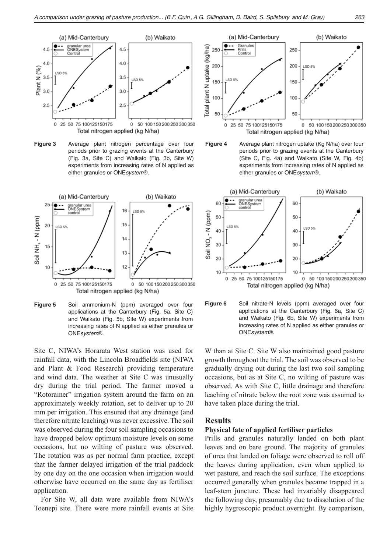

**Figure 3** Average plant nitrogen percentage over four periods prior to grazing events at the Canterbury (Fig. 3a, Site C) and Waikato (Fig. 3b, Site W) experiments from increasing rates of N applied as either granules or ONEsystem®.



**Figure 5** Soil ammonium-N (ppm) averaged over four applications at the Canterbury (Fig. 5a, Site C) and Waikato (Fig. 5b, Site W) experiments from increasing rates of N applied as either granules or ONEsystem®.

Site C, NIWA's Horarata West station was used for rainfall data, with the Lincoln Broadfields site (NIWA and Plant & Food Research) providing temperature and wind data. The weather at Site C was unusually dry during the trial period. The farmer moved a "Rotorainer" irrigation system around the farm on an approximately weekly rotation, set to deliver up to 20 mm per irrigation. This ensured that any drainage (and therefore nitrate leaching) was never excessive. The soil was observed during the four soil sampling occasions to have dropped below optimum moisture levels on some occasions, but no wilting of pasture was observed. The rotation was as per normal farm practice, except that the farmer delayed irrigation of the trial paddock by one day on the one occasion when irrigation would otherwise have occurred on the same day as fertiliser application.

For Site W, all data were available from NIWA's Toenepi site. There were more rainfall events at Site









W than at Site C. Site W also maintained good pasture growth throughout the trial. The soil was observed to be gradually drying out during the last two soil sampling occasions, but as at Site C, no wilting of pasture was observed. As with Site C, little drainage and therefore leaching of nitrate below the root zone was assumed to have taken place during the trial.

#### **Results**

## **Physical fate of applied fertiliser particles**

Prills and granules naturally landed on both plant leaves and on bare ground. The majority of granules of urea that landed on foliage were observed to roll off the leaves during application, even when applied to wet pasture, and reach the soil surface. The exceptions occurred generally when granules became trapped in a leaf-stem juncture. These had invariably disappeared the following day, presumably due to dissolution of the highly hygroscopic product overnight. By comparison,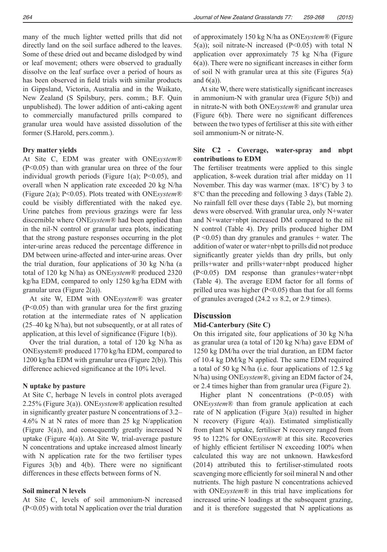many of the much lighter wetted prills that did not directly land on the soil surface adhered to the leaves. Some of these dried out and became dislodged by wind or leaf movement; others were observed to gradually dissolve on the leaf surface over a period of hours as has been observed in field trials with similar products in Gippsland, Victoria, Australia and in the Waikato, New Zealand (S Spilsbury, pers. comm.; B.F. Quin unpublished). The lower addition of anti-caking agent to commercially manufactured prills compared to granular urea would have assisted dissolution of the former (S.Harold, pers.comm.).

#### **Dry matter yields**

At Site C, EDM was greater with ONE*system®*  (P<0.05) than with granular urea on three of the four individual growth periods (Figure 1(a);  $P<0.05$ ), and overall when N application rate exceeded 20 kg N/ha (Figure 2(a); P<0.05). Plots treated with ONE*system®*  could be visibly differentiated with the naked eye. Urine patches from previous grazings were far less discernible where ONE*system®* had been applied than in the nil-N control or granular urea plots, indicating that the strong pasture responses occurring in the plot inter-urine areas reduced the percentage difference in DM between urine-affected and inter-urine areas. Over the trial duration, four applications of 30 kg N/ha (a total of 120 kg N/ha) as ONE*system®* produced 2320 kg/ha EDM, compared to only 1250 kg/ha EDM with granular urea (Figure 2(a)).

At site W, EDM with ONE*system®* was greater (P<0.05) than with granular urea for the first grazing rotation at the intermediate rates of N application (25–40 kg N/ha), but not subsequently, or at all rates of application, at this level of significance (Figure 1(b)).

Over the trial duration, a total of 120 kg N/ha as ONEsystem® produced 1770 kg/ha EDM, compared to 1200 kg/ha EDM with granular urea (Figure 2(b)). This difference achieved significance at the 10% level.

#### **N uptake by pasture**

At Site C, herbage N levels in control plots averaged 2.25% (Figure 3(a)). ONE*system®* application resulted in significantly greater pasture N concentrations of 3.2– 4.6% N at N rates of more than 25 kg N/application (Figure 3(a)), and consequently greatly increased N uptake (Figure 4(a)). At Site W, trial-average pasture N concentrations and uptake increased almost linearly with N application rate for the two fertiliser types Figures 3(b) and 4(b). There were no significant differences in these effects between forms of N.

#### **Soil mineral N levels**

At Site C, levels of soil ammonium-N increased (P<0.05) with total N application over the trial duration

of approximately 150 kg N/ha as ONE*system®* (Figure  $5(a)$ ; soil nitrate-N increased (P<0.05) with total N application over approximately 75 kg N/ha (Figure 6(a)). There were no significant increases in either form of soil N with granular urea at this site (Figures 5(a) and  $6(a)$ ).

At site W, there were statistically significant increases in ammonium-N with granular urea (Figure 5(b)) and in nitrate-N with both ONE*system®* and granular urea (Figure 6(b). There were no significant differences between the two types of fertiliser at this site with either soil ammonium-N or nitrate-N.

## **Site C2 - Coverage, water-spray and nbpt contributions to EDM**

The fertiliser treatments were applied to this single application, 8-week duration trial after midday on 11 November. This day was warmer (max. 18°C) by 3 to 8°C than the preceding and following 3 days (Table 2). No rainfall fell over these days (Table 2), but morning dews were observed. With granular urea, only N+water and N+water+nbpt increased DM compared to the nil N control (Table 4). Dry prills produced higher DM  $(P \le 0.05)$  than dry granules and granules + water. The addition of water or water+nbpt to prills did not produce significantly greater yields than dry prills, but only prills+water and prills+water+nbpt produced higher (P<0.05) DM response than granules+water+nbpt (Table 4). The average EDM factor for all forms of prilled urea was higher  $(P<0.05)$  than that for all forms of granules averaged (24.2 *vs* 8.2, or 2.9 times).

#### **Discussion**

#### **Mid-Canterbury (Site C)**

On this irrigated site, four applications of 30 kg N/ha as granular urea (a total of 120 kg N/ha) gave EDM of 1250 kg DM/ha over the trial duration, an EDM factor of 10.4 kg DM/kg N applied. The same EDM required a total of 50 kg N/ha (i.e. four applications of 12.5 kg N/ha) using ONE*system®*, giving an EDM factor of 24, or 2.4 times higher than from granular urea (Figure 2).

Higher plant N concentrations  $(P<0.05)$  with ONE*system®* than from granule application at each rate of N application (Figure  $3(a)$ ) resulted in higher N recovery (Figure 4(a)). Estimated simplistically from plant N uptake, fertiliser N recovery ranged from 95 to 122% for ONE*system®* at this site. Recoveries of highly efficient fertiliser N exceeding 100% when calculated this way are not unknown. Hawkesford (2014) attributed this to fertiliser-stimulated roots scavenging more efficiently for soil mineral N and other nutrients. The high pasture N concentrations achieved with ONE*system®* in this trial have implications for increased urine-N loadings at the subsequent grazing, and it is therefore suggested that N applications as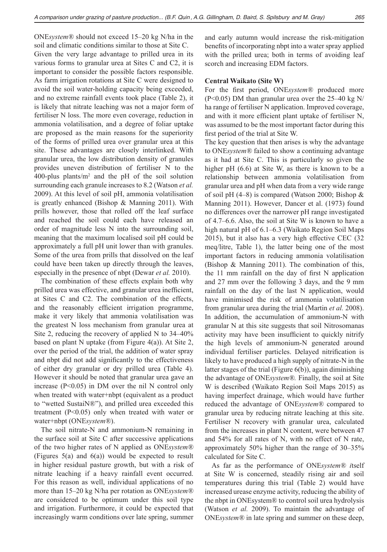ONE*system®* should not exceed 15–20 kg N/ha in the soil and climatic conditions similar to those at Site C. Given the very large advantage to prilled urea in its various forms to granular urea at Sites C and C2, it is important to consider the possible factors responsible. As farm irrigation rotations at Site C were designed to avoid the soil water-holding capacity being exceeded, and no extreme rainfall events took place (Table 2), it is likely that nitrate leaching was not a major form of fertiliser N loss. The more even coverage, reduction in ammonia volatilisation, and a degree of foliar uptake are proposed as the main reasons for the superiority of the forms of prilled urea over granular urea at this site. These advantages are closely interlinked. With granular urea, the low distribution density of granules provides uneven distribution of fertiliser N to the 400-plus plants/ $m<sup>2</sup>$  and the pH of the soil solution surrounding each granule increases to 8.2 (Watson *et al.* 2009). At this level of soil pH, ammonia volatilisation is greatly enhanced (Bishop & Manning 2011). With prills however, those that rolled off the leaf surface and reached the soil could each have released an order of magnitude less N into the surrounding soil, meaning that the maximum localised soil pH could be approximately a full pH unit lower than with granules. Some of the urea from prills that dissolved on the leaf could have been taken up directly through the leaves, especially in the presence of nbpt (Dewar *et al.* 2010).

The combination of these effects explain both why prilled urea was effective, and granular urea inefficient, at Sites C and C2. The combination of the effects, and the reasonably efficient irrigation programme, make it very likely that ammonia volatilisation was the greatest N loss mechanism from granular urea at Site 2, reducing the recovery of applied N to 34–40% based on plant N uptake (from Figure  $4(a)$ ). At Site 2, over the period of the trial, the addition of water spray and nbpt did not add significantly to the effectiveness of either dry granular or dry prilled urea (Table 4). However it should be noted that granular urea gave an increase  $(P<0.05)$  in DM over the nil N control only when treated with water+nbpt (equivalent as a product to "wetted SustaiN®"), and prilled urea exceeded this treatment (P<0.05) only when treated with water or water+nbpt (ONE*system®*).

The soil nitrate-N and ammonium-N remaining in the surface soil at Site C after successive applications of the two higher rates of N applied as ONE*system®*  (Figures 5(a) and 6(a)) would be expected to result in higher residual pasture growth, but with a risk of nitrate leaching if a heavy rainfall event occurred. For this reason as well, individual applications of no more than 15–20 kg N/ha per rotation as ONE*system®*  are considered to be optimum under this soil type and irrigation. Furthermore, it could be expected that increasingly warm conditions over late spring, summer and early autumn would increase the risk-mitigation benefits of incorporating nbpt into a water spray applied with the prilled urea; both in terms of avoiding leaf scorch and increasing EDM factors.

## **Central Waikato (Site W)**

For the first period, ONE*system®* produced more  $(P<0.05)$  DM than granular urea over the 25–40 kg N/ ha range of fertiliser N application. Improved coverage, and with it more efficient plant uptake of fertiliser N, was assumed to be the most important factor during this first period of the trial at Site W.

The key question that then arises is why the advantage to ONE*system®* failed to show a continuing advantage as it had at Site C. This is particularly so given the higher pH  $(6.6)$  at Site W, as there is known to be a relationship between ammonia volatilisation from granular urea and pH when data from a very wide range of soil pH  $(4–8)$  is compared (Watson 2000; Bishop & Manning 2011). However, Dancer et al. (1973) found no differences over the narrower pH range investigated of 4.7–6.6. Also, the soil at Site W is known to have a high natural pH of 6.1–6.3 (Waikato Region Soil Maps 2015), but it also has a very high effective CEC (32 meq/litre, Table 1), the latter being one of the most important factors in reducing ammonia volatilisation (Bishop & Manning 2011). The combination of this, the 11 mm rainfall on the day of first N application and 27 mm over the following 3 days, and the 9 mm rainfall on the day of the last N application, would have minimised the risk of ammonia volatilisation from granular urea during the trial (Martin *et al.* 2008). In addition, the accumulation of ammonium-N with granular N at this site suggests that soil Nitrosomanas activity may have been insufficient to quickly nitrify the high levels of ammonium-N generated around individual fertiliser particles. Delayed nitrification is likely to have produced a high supply of nitrate-N in the latter stages of the trial (Figure 6(b)), again diminishing the advantage of ONE*system®.* Finally, the soil at Site W is described (Waikato Region Soil Maps 2015) as having imperfect drainage, which would have further reduced the advantage of ONE*system®* compared to granular urea by reducing nitrate leaching at this site. Fertiliser N recovery with granular urea, calculated from the increases in plant N content, were between 47 and 54% for all rates of N, with no effect of N rate, approximately 50% higher than the range of 30–35% calculated for Site C.

As far as the performance of ONE*system® i*tself at Site W is concerned, steadily rising air and soil temperatures during this trial (Table 2) would have increased urease enzyme activity, reducing the ability of the nbpt in ONEsystem® to control soil urea hydrolysis (Watson *et al.* 2009). To maintain the advantage of ONE*system®* in late spring and summer on these deep,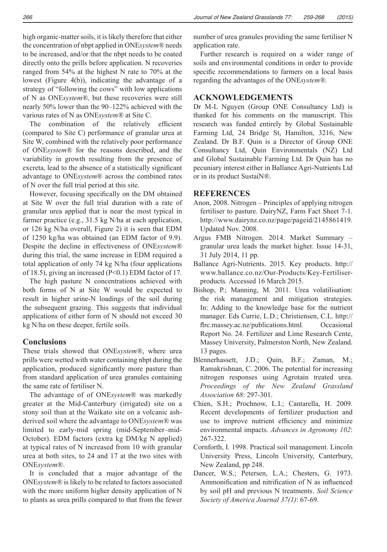high organic-matter soils, it is likely therefore that either the concentration of nbpt applied in ONE*system®* needs to be increased, and/or that the nbpt needs to be coated directly onto the prills before application. N recoveries ranged from 54% at the highest N rate to 70% at the lowest (Figure 4(b)), indicating the advantage of a strategy of "following the cows" with low applications of N as ONE*system®,* but these recoveries were still nearly 50% lower than the 90–122% achieved with the various rates of N as ONE*system®* at Site C*.*

The combination of the relatively efficient (compared to Site C) performance of granular urea at Site W, combined with the relatively poor performance of ONE*system®* for the reasons described, and the variability in growth resulting from the presence of excreta, lead to the absence of a statistically significant advantage to ONE*system*® across the combined rates of N over the full trial period at this site.

However, focusing specifically on the DM obtained at Site W over the full trial duration with a rate of granular urea applied that is near the most typical in farmer practice (e.g., 31.5 kg N/ha at each application, or 126 kg N/ha overall, Figure 2) it is seen that EDM of 1250 kg/ha was obtained (an EDM factor of 9.9). Despite the decline in effectiveness of ONE*system®* during this trial, the same increase in EDM required a total application of only 74 kg N/ha (four applications of 18.5), giving an increased (P<0.1) EDM factor of 17.

The high pasture N concentrations achieved with both forms of N at Site W would be expected to result in higher urine-N loadings of the soil during the subsequent grazing. This suggests that individual applications of either form of N should not exceed 30 kg N/ha on these deeper, fertile soils.

# **Conclusions**

These trials showed that ONE*system®*, where urea prills were wetted with water containing nbpt during the application, produced significantly more pasture than from standard application of urea granules containing the same rate of fertiliser N.

The advantage of of ONE*system*® was markedly greater at the Mid-Canterbury (irrigated) site on a stony soil than at the Waikato site on a volcanic ashderived soil where the advantage to ONE*system®* was limited to early-mid spring (mid-September–mid-October). EDM factors (extra kg DM/kg N applied) at typical rates of N increased from 10 with granular urea at both sites, to 24 and 17 at the two sites with ONE*system*®.

It is concluded that a major advantage of the ONE*system®* is likely to be related to factors associated with the more uniform higher density application of N to plants as urea prills compared to that from the fewer number of urea granules providing the same fertiliser N application rate.

Further research is required on a wider range of soils and environmental conditions in order to provide specific recommendations to farmers on a local basis regarding the advantages of the ONE*system®.*

# **ACKNOWLEDGEMENTS**

Dr M-L Nguyen (Group ONE Consultancy Ltd) is thanked for his comments on the manuscript. This research was funded entirely by Global Sustainable Farming Ltd, 24 Bridge St, Hamilton, 3216, New Zealand. Dr B.F. Quin is a Director of Group ONE Consultancy Ltd, Quin Environmentals (NZ) Ltd and Global Sustainable Farming Ltd. Dr Quin has no pecuniary interest either in Ballance Agri-Nutrients Ltd or in its product SustaiN®.

## **REFERENCES**

- Anon, 2008. Nitrogen Principles of applying nitrogen fertiliser to pasture. DairyNZ, Farm Fact Sheet 7-1. http://www.dairynz.co.nz/page/pageid/2145861419*.*  Updated Nov. 2008.
- Argus FMB Nitrogen. 2014. Market Summary granular urea leads the market higher. Issue 14-31, 31 July 2014, 11 pp.
- Ballance Agri-Nutrients. 2015. Key products. http:// www.ballance.co.nz/Our-Products/Key-Fertiliserproducts*.* Accessed 16 March 2015.
- Bishop, P.; Manning, M. 2011. Urea volatilisation: the risk management and mitigation strategies. In: Adding to the knowledge base for the nutrient manager. Eds Currie, L.D.; Christiensen, C.L. http:// flrc.massey.ac.nz/publications.html. Occasional Report No. 24. Fertilizer and Lime Research Cente, Massey University, Palmerston North, New Zealand. 13 pages.
- Blennerhassett, J.D.; Quin, B.F.; Zaman, M.; Ramakrishnan, C. 2006. The potential for increasing nitrogen responses using Agrotain treated urea. *Proceedings of the New Zealand Grassland Association 68*: 297-301.
- Chien, S.H.; Prochnow, L.I.; Cantarella, H. 2009. Recent developments of fertilizer production and use to improve nutrient efficiency and minimize environmental impacts. *Advances in Agronomy 102*: 267-322.
- Cornforth, I. 1998. Practical soil management. Lincoln University Press, Lincoln University, Canterbury, New Zealand, pp 248.
- Dancer, W.S.; Petersen, L.A.; Chesters, G. 1973. Ammonification and nitrification of N as influenced by soil pH and previous N treatments. *Soil Science Society of America Journal 37(1)*: 67-69.